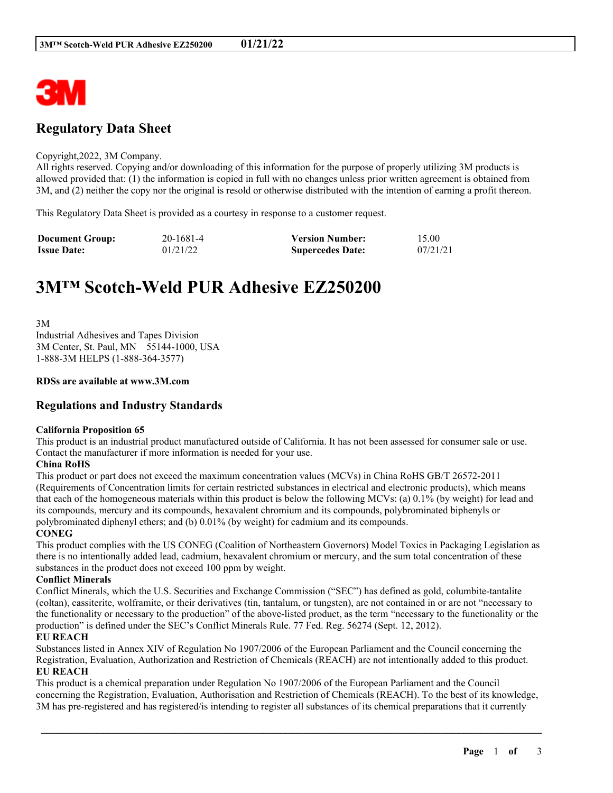

## **Regulatory Data Sheet**

#### Copyright,2022, 3M Company.

All rights reserved. Copying and/or downloading of this information for the purpose of properly utilizing 3M products is allowed provided that: (1) the information is copied in full with no changes unless prior written agreement is obtained from 3M, and (2) neither the copy nor the original is resold or otherwise distributed with the intention of earning a profit thereon.

This Regulatory Data Sheet is provided as a courtesy in response to a customer request.

| <b>Document Group:</b> | 20-1681-4 | <b>Version Number:</b>  | 15.00    |
|------------------------|-----------|-------------------------|----------|
| <b>Issue Date:</b>     | 01/21/22  | <b>Supercedes Date:</b> | 07/21/21 |

# **3M™ Scotch-Weld PUR Adhesive EZ250200**

3M Industrial Adhesives and Tapes Division 3M Center, St. Paul, MN 55144-1000, USA 1-888-3M HELPS (1-888-364-3577)

#### **RDSs are available at www.3M.com**

## **Regulations and Industry Standards**

#### **California Proposition 65**

This product is an industrial product manufactured outside of California. It has not been assessed for consumer sale or use. Contact the manufacturer if more information is needed for your use.

#### **China RoHS**

This product or part does not exceed the maximum concentration values (MCVs) in China RoHS GB/T 26572-2011 (Requirements of Concentration limits for certain restricted substances in electrical and electronic products), which means that each of the homogeneous materials within this product is below the following MCVs: (a) 0.1% (by weight) for lead and its compounds, mercury and its compounds, hexavalent chromium and its compounds, polybrominated biphenyls or polybrominated diphenyl ethers; and (b) 0.01% (by weight) for cadmium and its compounds.

#### **CONEG**

This product complies with the US CONEG (Coalition of Northeastern Governors) Model Toxics in Packaging Legislation as there is no intentionally added lead, cadmium, hexavalent chromium or mercury, and the sum total concentration of these substances in the product does not exceed 100 ppm by weight.

#### **Conflict Minerals**

Conflict Minerals, which the U.S. Securities and Exchange Commission ("SEC") has defined as gold, columbite-tantalite (coltan), cassiterite, wolframite, or their derivatives (tin, tantalum, or tungsten), are not contained in or are not "necessary to the functionality or necessary to the production" of the above-listed product, as the term "necessary to the functionality or the production" is defined under the SEC's Conflict Minerals Rule. 77 Fed. Reg. 56274 (Sept. 12, 2012).

#### **EU REACH**

Substances listed in Annex XIV of Regulation No 1907/2006 of the European Parliament and the Council concerning the Registration, Evaluation, Authorization and Restriction of Chemicals (REACH) are not intentionally added to this product. **EU REACH**

This product is a chemical preparation under Regulation No 1907/2006 of the European Parliament and the Council concerning the Registration, Evaluation, Authorisation and Restriction of Chemicals (REACH). To the best of its knowledge, 3M has pre-registered and has registered/is intending to register all substances of its chemical preparations that it currently

\_\_\_\_\_\_\_\_\_\_\_\_\_\_\_\_\_\_\_\_\_\_\_\_\_\_\_\_\_\_\_\_\_\_\_\_\_\_\_\_\_\_\_\_\_\_\_\_\_\_\_\_\_\_\_\_\_\_\_\_\_\_\_\_\_\_\_\_\_\_\_\_\_\_\_\_\_\_\_\_\_\_\_\_\_\_\_\_\_\_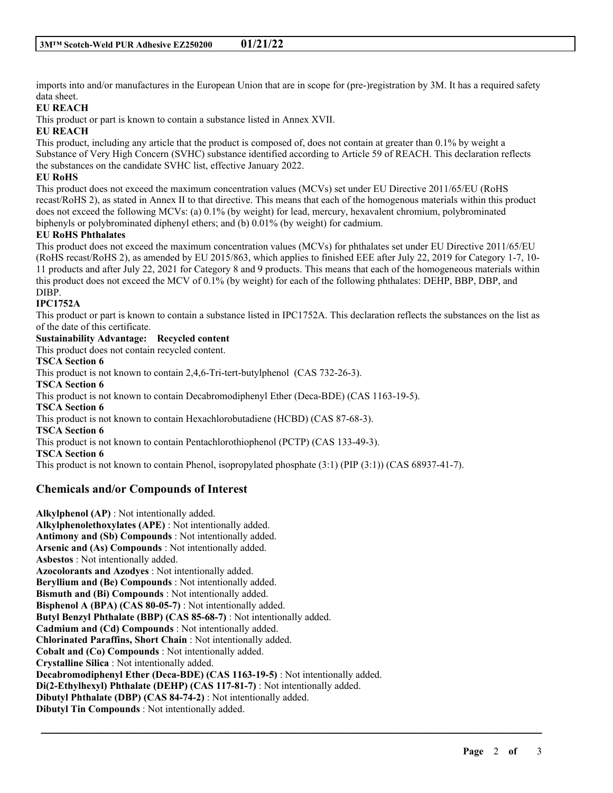imports into and/or manufactures in the European Union that are in scope for (pre-)registration by 3M. It has a required safety data sheet.

## **EU REACH**

This product or part is known to contain a substance listed in Annex XVII.

### **EU REACH**

This product, including any article that the product is composed of, does not contain at greater than 0.1% by weight a Substance of Very High Concern (SVHC) substance identified according to Article 59 of REACH. This declaration reflects the substances on the candidate SVHC list, effective January 2022.

## **EU RoHS**

This product does not exceed the maximum concentration values (MCVs) set under EU Directive 2011/65/EU (RoHS recast/RoHS 2), as stated in Annex II to that directive. This means that each of the homogenous materials within this product does not exceed the following MCVs: (a) 0.1% (by weight) for lead, mercury, hexavalent chromium, polybrominated biphenyls or polybrominated diphenyl ethers; and (b) 0.01% (by weight) for cadmium.

## **EU RoHS Phthalates**

This product does not exceed the maximum concentration values (MCVs) for phthalates set under EU Directive 2011/65/EU (RoHS recast/RoHS 2), as amended by EU 2015/863, which applies to finished EEE after July 22, 2019 for Category 1-7, 10- 11 products and after July 22, 2021 for Category 8 and 9 products. This means that each of the homogeneous materials within this product does not exceed the MCV of 0.1% (by weight) for each of the following phthalates: DEHP, BBP, DBP, and DIBP.

## **IPC1752A**

This product or part is known to contain a substance listed in IPC1752A. This declaration reflects the substances on the list as of the date of this certificate.

\_\_\_\_\_\_\_\_\_\_\_\_\_\_\_\_\_\_\_\_\_\_\_\_\_\_\_\_\_\_\_\_\_\_\_\_\_\_\_\_\_\_\_\_\_\_\_\_\_\_\_\_\_\_\_\_\_\_\_\_\_\_\_\_\_\_\_\_\_\_\_\_\_\_\_\_\_\_\_\_\_\_\_\_\_\_\_\_\_\_

#### **Sustainability Advantage: Recycled content**

This product does not contain recycled content.

#### **TSCA Section 6**

This product is not known to contain 2,4,6-Tri-tert-butylphenol (CAS 732-26-3). **TSCA Section 6** This product is not known to contain Decabromodiphenyl Ether (Deca-BDE) (CAS 1163-19-5). **TSCA Section 6** This product is not known to contain Hexachlorobutadiene (HCBD) (CAS 87-68-3). **TSCA Section 6** This product is not known to contain Pentachlorothiophenol (PCTP) (CAS 133-49-3). **TSCA Section 6** This product is not known to contain Phenol, isopropylated phosphate (3:1) (PIP (3:1)) (CAS 68937-41-7).

## **Chemicals and/or Compounds of Interest**

**Alkylphenol (AP)** : Not intentionally added. **Alkylphenolethoxylates (APE)** : Not intentionally added. **Antimony and (Sb) Compounds** : Not intentionally added. **Arsenic and (As) Compounds** : Not intentionally added. **Asbestos** : Not intentionally added. **Azocolorants and Azodyes** : Not intentionally added. **Beryllium and (Be) Compounds** : Not intentionally added. **Bismuth and (Bi) Compounds** : Not intentionally added. **Bisphenol A (BPA) (CAS 80-05-7)** : Not intentionally added. **Butyl Benzyl Phthalate (BBP) (CAS 85-68-7)** : Not intentionally added. **Cadmium and (Cd) Compounds** : Not intentionally added. **Chlorinated Paraffins, Short Chain** : Not intentionally added. **Cobalt and (Co) Compounds** : Not intentionally added. **Crystalline Silica** : Not intentionally added. **Decabromodiphenyl Ether (Deca-BDE) (CAS 1163-19-5)** : Not intentionally added. **Di(2-Ethylhexyl) Phthalate (DEHP) (CAS 117-81-7)** : Not intentionally added. **Dibutyl Phthalate (DBP) (CAS 84-74-2)** : Not intentionally added. **Dibutyl Tin Compounds** : Not intentionally added.